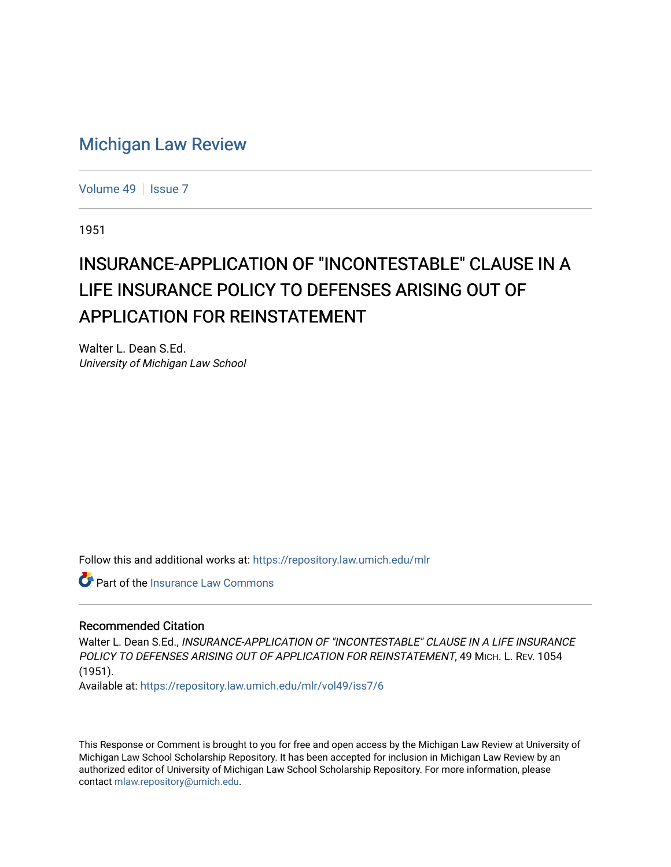# [Michigan Law Review](https://repository.law.umich.edu/mlr)

[Volume 49](https://repository.law.umich.edu/mlr/vol49) | [Issue 7](https://repository.law.umich.edu/mlr/vol49/iss7)

1951

# INSURANCE-APPLICATION OF "INCONTESTABLE" CLAUSE IN A LIFE INSURANCE POLICY TO DEFENSES ARISING OUT OF APPLICATION FOR REINSTATEMENT

Walter L. Dean S.Ed. University of Michigan Law School

Follow this and additional works at: [https://repository.law.umich.edu/mlr](https://repository.law.umich.edu/mlr?utm_source=repository.law.umich.edu%2Fmlr%2Fvol49%2Fiss7%2F6&utm_medium=PDF&utm_campaign=PDFCoverPages) 

Part of the [Insurance Law Commons](https://network.bepress.com/hgg/discipline/607?utm_source=repository.law.umich.edu%2Fmlr%2Fvol49%2Fiss7%2F6&utm_medium=PDF&utm_campaign=PDFCoverPages)

## Recommended Citation

Walter L. Dean S.Ed., INSURANCE-APPLICATION OF "INCONTESTABLE" CLAUSE IN A LIFE INSURANCE POLICY TO DEFENSES ARISING OUT OF APPLICATION FOR REINSTATEMENT, 49 MICH. L. REV. 1054 (1951).

Available at: [https://repository.law.umich.edu/mlr/vol49/iss7/6](https://repository.law.umich.edu/mlr/vol49/iss7/6?utm_source=repository.law.umich.edu%2Fmlr%2Fvol49%2Fiss7%2F6&utm_medium=PDF&utm_campaign=PDFCoverPages)

This Response or Comment is brought to you for free and open access by the Michigan Law Review at University of Michigan Law School Scholarship Repository. It has been accepted for inclusion in Michigan Law Review by an authorized editor of University of Michigan Law School Scholarship Repository. For more information, please contact [mlaw.repository@umich.edu](mailto:mlaw.repository@umich.edu).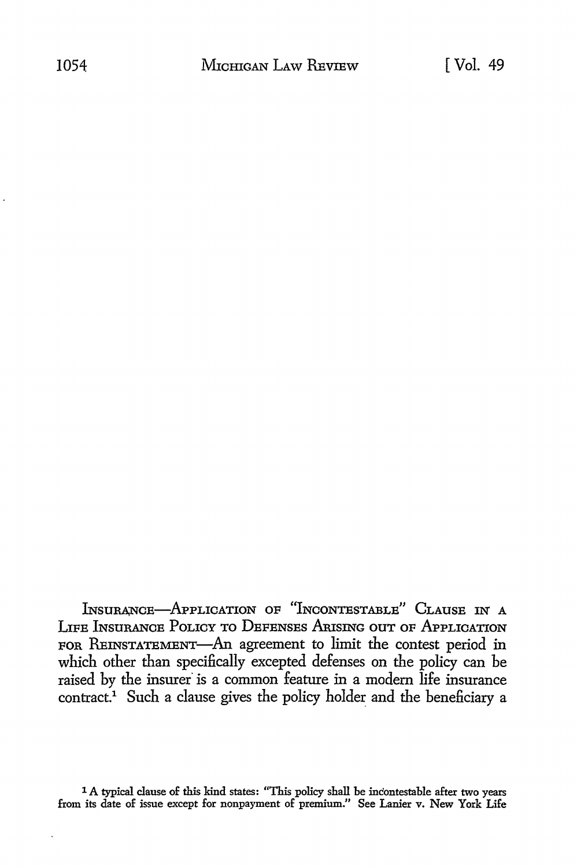INSURANCE-APPLICATION OF "INCONTESTABLE" CLAUSE IN A LIFE INSURANCE PoLICY TO DEFENSES ArusING ouT oF APPLICATION FOR REINSTATEMENT-An agreement to limit the contest period in which other than specifically excepted defenses on the policy can be raised by the insurer is a common feature in a modern life insurance contract.<sup>1</sup> Such a clause gives the policy holder and the beneficiary a

<sup>1</sup> A typical clause of this kind states: "This policy shall be incontestable after two years from its date of issue except for nonpayment of premium." See Lanier v. New York Life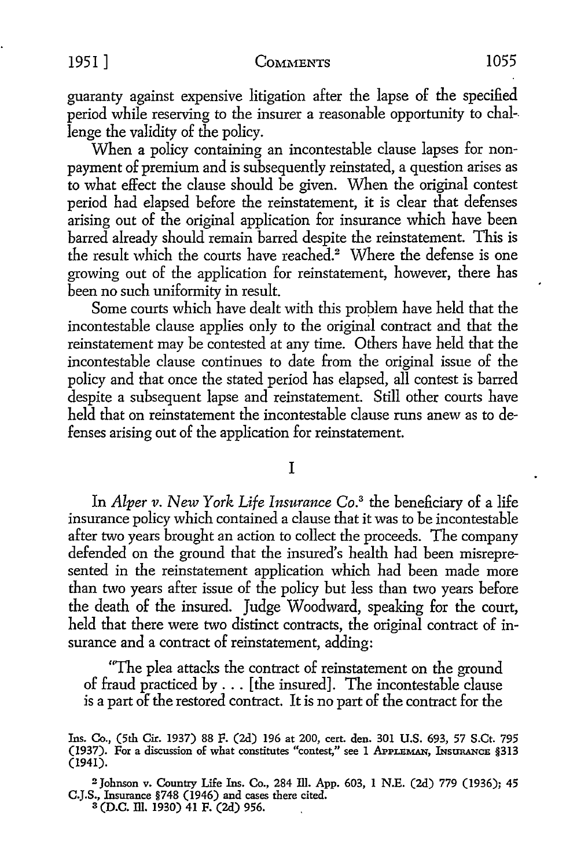guaranty against expensive litigation after the lapse of the specified period while reserving to the insurer a reasonable opportunity to chal-. lenge the validity of the policy.

When a policy containing an incontestable clause lapses for nonpayment of premium and is subsequently reinstated, a question arises as to what effect the clause should be given. When the original contest period had elapsed before the reinstatement, it is clear that defenses arising out of the original application for insurance which have been barred already should remain barred despite the reinstatement. This is the result which the courts have reached.<sup>2</sup> Where the defense is one growing out of the application for reinstatement, however, there has been no such uniformity in result.

Some courts which have dealt with this proplem have held that the incontestable clause applies only to the original contract and that the reinstatement may be contested at any time. Others have held that the incontestable clause continues to date from the original issue of the policy and that once the stated period has elapsed, all contest is barred despite a subsequent lapse and reinstatement. Still other courts have held that on reinstatement the incontestable clause runs anew as to defenses arising out of the application for reinstatement.

I

In *Alper v. New York Life Insurance Co.*3 the beneficiary of a life insurance policy which contained a clause that it was to be incontestable after two years brought an action to collect the proceeds. The company defended on the ground that the insured's health had been misrepresented in the reinstatement application which had been made more than two years after issue of the policy but less than two years before the death of the insured. Judge Woodward, speaking for the court, held that there were two distinct contracts, the original contract of insurance and a contract of reinstatement, adding:

"The plea attacks the contract of reinstatement on the ground of fraud practiced by ... [the insured]. The incontestable clause is a part of the restored contract. It is no part of the contract for the

<sup>2</sup>Johnson v. Country Life Ins. Co., 284 Ill. App. 603, 1 N.E. (2d) 779 (1936); 45 C.J.S., Insurance §748 (1946) and cases there cited. 3 (D.C. Ill. 1930) 41 F. (2d) 956.

Ins. Co., (5th Cir. 1937) 88 F. (2d) 196 at 200, cert. den. 301 U.S. 693, 57 S.Ct. 795 (1937). For a discussion of what constitutes "contest," see 1 APPLEMAN, INSURANCE §313 (1941).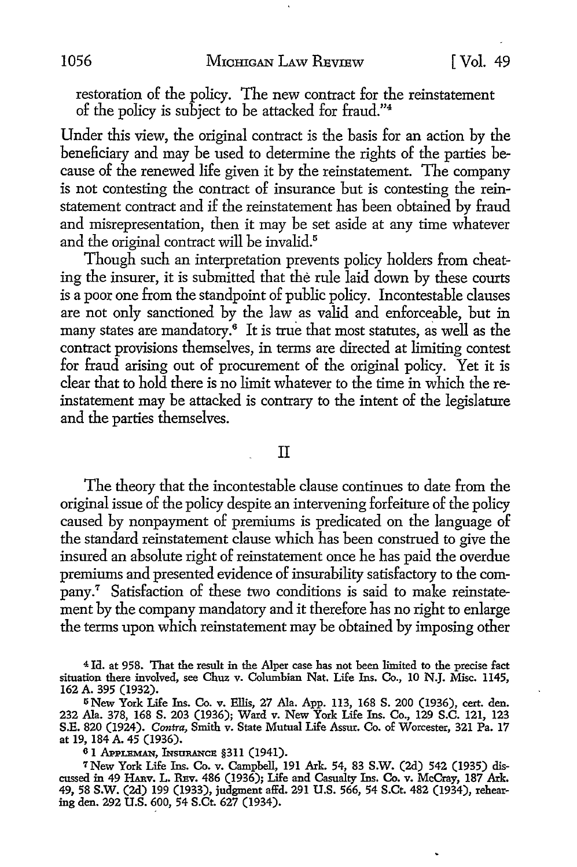restoration of the policy. The new contract for the reinstatement of the policy is subject to be attacked for fraud."<sup>4</sup>

Under this view, the original contract is the basis for an action by the beneficiary and may be used to determine the rights of the parties because of the renewed life given it by the reinstatement. The company is not contesting the contract of insurance but is contesting the reinstatement contract and if the reinstatement has been obtained by fraud and misrepresentation, then it may be set aside at any time whatever and the original contract will be invalid.<sup>5</sup>

Though such an interpretation prevents policy holders from cheating the insurer, it is submitted that the rule laid down by these courts is a poor one from the standpoint of public policy. Incontestable clauses are not only sanctioned by the law as valid and enforceable, but in many states are mandatory.6 It is true that most statutes, as well as the contract provisions themselves, in terms are directed at limiting contest for fraud arising out of procurement of the original policy. Yet it is clear that to hold there is no limit whatever to the time in which the reinstatement may be attacked is contrary to the intent of the legislature and the parties themselves.

#### II

The theory that the incontestable clause continues to date from the original issue of the policy despite an intervening forfeiture of the policy caused by nonpayment of premiums is predicated on the language of the standard reinstatement clause which has been construed to give the insured an absolute right of reinstatement once he has paid the overdue premiums and presented evidence of insurability satisfactory to the com- $_{\rm pany.}$ <sup>7</sup> Satisfaction of these two conditions is said to make reinstatement by the company mandatory and it therefore has no right to enlarge the terms upon which reinstatement may be obtained by imposing other

<sup>4</sup>Ia. at 958. That the result in the Alper case has not been limited to the precise fact situation there involved, see Chuz v. Columbian Nat. Life Ins. Co., 10 N.J. Misc. 1145, 162 A. 395 (1932).

<sup>5</sup>New York Life Ins. Co. v. Ellis, 27 Ala. App. 113, 168 S. 200 (1936), cert. den. 232 Ala. 378, 168 S. 203 (1936); Ward v. New York Life Ins. Co., 129 S.C. 121, 123 S.E. 820 (1924). *Contra,* Smith v. State Mutual Life Assur. Co. of Worcester, 321 Pa. 17 at 19, 184 A. 45 (1936).

 $61$  Appleman, Insurance §311 (1941).

<sup>7</sup> New York Life Ins. Co. v. Campbell, 191 Ark. 54, 83 S.W. (2d) 542 (1935) discussed in 49 HARV. L. REV. 486 (1936); Life and Casualty Ins. Co. v. McCray, 187 Ark. 49, 58 S.W. (2d) 199 (1933), judgment affd. 291 U.S. 566, 54 S.Ct. 482 (1934), rehearing den. 292 U.S. 600, 54 S.Ct. 627 (1934).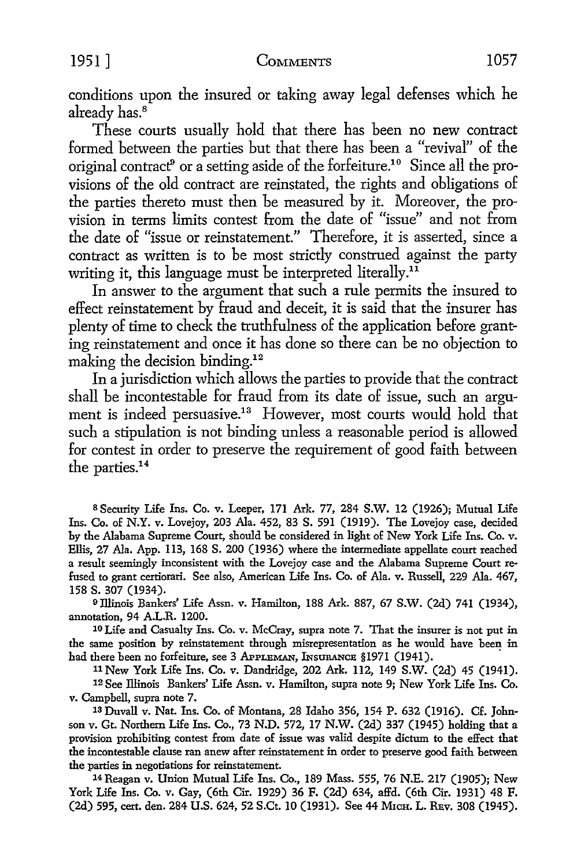conditions upon the insured or taking away legal defenses which he already has.<sup>8</sup>

These courts usually hold that there has been no new contract formed between the parties but that there has been a "revival" of the original contract<sup>9</sup> or a setting aside of the forfeiture.<sup>10</sup> Since all the provisions of the old contract are reinstated, the rights and obligations of the parties thereto must then be measured by it. Moreover, the provision in terms limits contest from the date of "issue" and not from the date of "issue or reinstatement." Therefore, it is asserted, since a contract as written is to be most strictly construed against the party writing it, this language must be interpreted literally.<sup>11</sup>

In answer to the argument that such a rule permits the insured to effect reinstatement by fraud and deceit, it is said that the insurer has plenty of time to check the truthfulness of the application before granting reinstatement and once it has done so there can be no objection to making the decision binding.<sup>12</sup>

In a jurisdiction which allows the parties to provide that the contract shall be incontestable for fraud from its date of issue, such an argument is indeed persuasive.<sup>13</sup> However, most courts would hold that such a stipulation is not binding unless a reasonable period is allowed for contest in order to preserve the requirement of good faith between the parties.<sup>14</sup>

s Security Life Ins. Co. v. Leeper, 171 Ark. 77, 284 S.W. 12 (1926); Mutual Life Ins. Co. of N.Y. v. Lovejoy, 203 Ala. 452, 83 S. 591 (1919). The Lovejoy case, decided by the Alabama Supreme Court, should be considered in light of New York Life Ins. Co. v. Ellis, 27 Ala. App. 113, 168 S. 200 (1936) where the intermediate appellate court reached a result seemingly inconsistent with the Lovejoy case and the Alabama Supreme Court refused to grant certiorari. See also, American Life Ins. Co. of Ala. v. Russell, 229 Ala. 467, 158 s. 307 (1934).

9IlJinois Bankers' Life Assn. v. Hamilton, 188 Ark. 887, 67 S.W. (2d) 741 (1934), annotation, 94 A.LR. 1200.

10 Life and Casualty Ins. Co. v. McCray, supra note 7. That the insurer is not put in the same position by reinstatement through misrepresentation as he would have been in had there been no forfeiture, see 3 APPLEMAN, INSURANCE §1971 (1941).

<sup>11</sup>New York Life Ins. Co. v. Dandridge, 202 Ark. 112, 149 S.W. (2d) 45 (1941).

12 See lliinois Bankers' Life Assn. v. Hamilton, supra note 9; New York Life Ins. Co. v. Campbell, supra note 7.

13 Duvall v. Nat. Ins. Co. of Montana, 28 Idaho 356, 154 P. 632 (1916). Cf. Johnson v. Gt. Northern Life Ins. Co., 73 N.D. 572, 17 N.W. (2d) 337 (1945) holding that a provision prohibiting contest from date of issue was valid despite dictum to the effect that the incontestable clause ran anew after reinstatement in order to preserve good faith between the parties in negotiations for reinstatement.

14 Reagan v. Union Mutual Life Ins. Co., 189 Mass. 555, 76 N.E. 217 (1905); New York Life Ins. Co. v. Gay, (6th Cir. 1929) 36 F. (2d) 634, affd. (6th Cir. 1931) 48 F. (2d) 595, cert. den. 284 U.S. 624, 52 S.Ct. 10 (1931). See 44 MICH. L. REv. 308 (1945).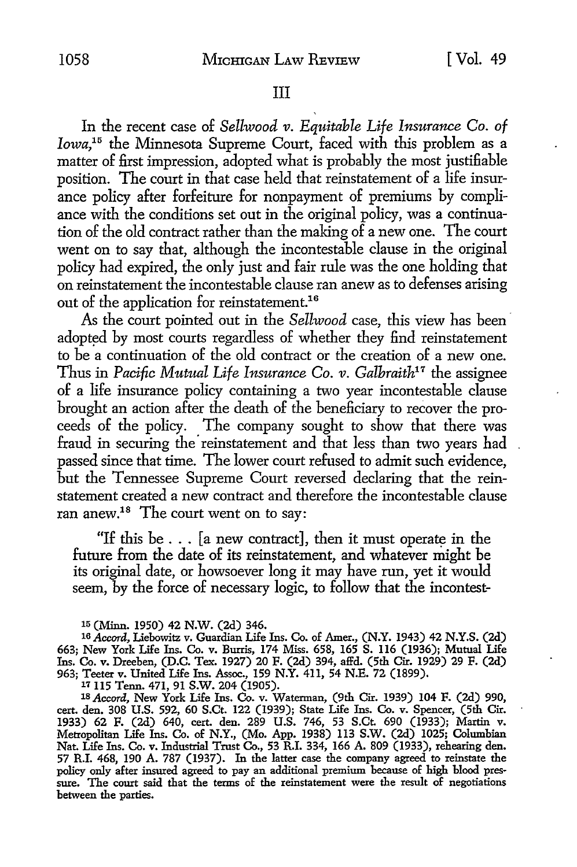#### III

In the recent case of *Bellwood v. Equitable Life Insurance Co. of Iowa*,<sup>15</sup> the Minnesota Supreme Court, faced with this problem as a matter of first impression, adopted what is probably the most justifiable position. The court in that case held that reinstatement of a life insurance policy after forfeiture for nonpayment of premiums by compliance with the conditions set out in the original policy, was a continuation of the old contract rather than the making of a new one. The court went on to say that, although the incontestable clause in the original policy had expired, the only just and fair rule was the one holding that on reinstatement the incontestable clause ran anew as to defenses arising out of the application for reinstatement.<sup>16</sup>

As the court pointed out in the *Sellwood* case, this view has been adopted by most courts regardless of whether they find reinstatement to be a continuation of the old contract or the creation of a new one. Thus in *Pacific Mutual Life Insurance Co. v. Galhraith17* the assignee of a life insurance policy containing a two year incontestable clause brought an action after the death of the beneficiary to recover the proceeds of the policy. The company sought to show that there was fraud in securing the reinstatement and that less than two years had passed since that time. The lower court refused to admit such evidence, but the Tennessee Supreme Court reversed declaring that the reinstatement created a new contract and therefore the incontestable clause ran anew.18 The court went on to say:

"If this be  $\dots$  [a new contract], then it must operate in the future from the date of its reinstatement, and whatever might be its original date, or howsoever long it may have run, yet it would seem, by the force of necessary logic, to follow that the incontest-

*11* 115 Tenn. 471, 91 S.W. 204 (1905).

1s *Accord,* New York Life Ins. Co. *v.* Waterman, (9th Cir. 1939) 104 F. (2d) 990, cert. den. 308 U.S. 592, 60 S.Ct. 122 (1939); State Life Ins. Co. *v.* Spencer, (5th Cir. 1933) 62 F. (2d) 640, cert. den. 289 U.S. 746, 53 S.Ct. 690 (1933); Martin *v.* Metropolitan Life Ins. Co. of N.Y., (Mo. App. 1938) 113 S.W. (2d) 1025; Columbian Nat. Life Ins. Co. v. Industrial Trust Co., 53 R.I. 334, 166 A. 809 (1933), rehearing den. 57 R.I. 468, 190 A. 787 (1937). In the latter case the company agreed to reinstate the policy only after insured agreed to pay an additional premium because of high blood pressure. The court said that the terms of the reinstatement were the result of negotiations between the parties.

<sup>15 (</sup>Minn. 1950) 42 N.W. (2d) 346.

<sup>16</sup> *Accord,* Liebowitz *v.* Guardian Life Ins. Co. of Amer., (N.Y. 1943) 42 N.Y.S. (2d) 663; New York Life Ins. Co. *v.* Burris, 174 Miss. 658, 165 S. 116 (1936); Mutual Life Ins. Co. *v.* Dreeben, (D.C. Tex. 1927) 20 F. (2d) 394, affd. (5th Cir. 1929) 29 F. (2d) 963; Teeter *v.* United Life Ins. Assoc., 159 N.Y. 411, 54 N.E. 72 (1899).